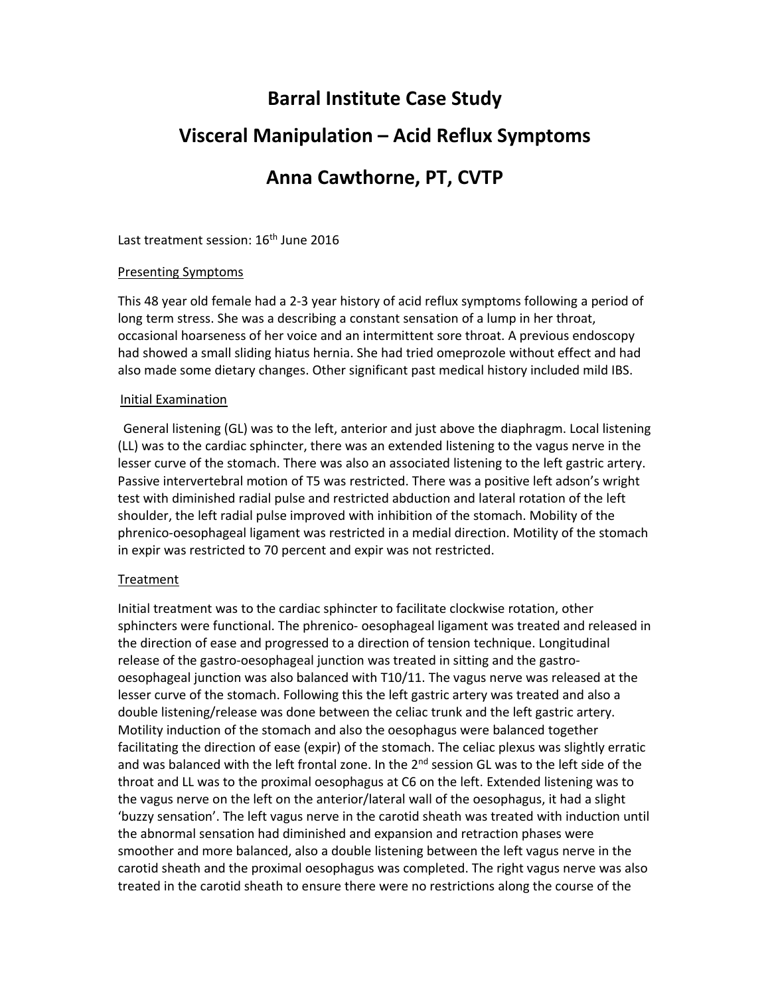# **Barral Institute Case Study**

## **Visceral Manipulation – Acid Reflux Symptoms**

## **Anna Cawthorne, PT, CVTP**

Last treatment session: 16<sup>th</sup> June 2016

### Presenting Symptoms

This 48 year old female had a 2‐3 year history of acid reflux symptoms following a period of long term stress. She was a describing a constant sensation of a lump in her throat, occasional hoarseness of her voice and an intermittent sore throat. A previous endoscopy had showed a small sliding hiatus hernia. She had tried omeprozole without effect and had also made some dietary changes. Other significant past medical history included mild IBS.

#### Initial Examination

 General listening (GL) was to the left, anterior and just above the diaphragm. Local listening (LL) was to the cardiac sphincter, there was an extended listening to the vagus nerve in the lesser curve of the stomach. There was also an associated listening to the left gastric artery. Passive intervertebral motion of T5 was restricted. There was a positive left adson's wright test with diminished radial pulse and restricted abduction and lateral rotation of the left shoulder, the left radial pulse improved with inhibition of the stomach. Mobility of the phrenico-oesophageal ligament was restricted in a medial direction. Motility of the stomach in expir was restricted to 70 percent and expir was not restricted.

### Treatment

Initial treatment was to the cardiac sphincter to facilitate clockwise rotation, other sphincters were functional. The phrenico- oesophageal ligament was treated and released in the direction of ease and progressed to a direction of tension technique. Longitudinal release of the gastro‐oesophageal junction was treated in sitting and the gastro‐ oesophageal junction was also balanced with T10/11. The vagus nerve was released at the lesser curve of the stomach. Following this the left gastric artery was treated and also a double listening/release was done between the celiac trunk and the left gastric artery. Motility induction of the stomach and also the oesophagus were balanced together facilitating the direction of ease (expir) of the stomach. The celiac plexus was slightly erratic and was balanced with the left frontal zone. In the  $2<sup>nd</sup>$  session GL was to the left side of the throat and LL was to the proximal oesophagus at C6 on the left. Extended listening was to the vagus nerve on the left on the anterior/lateral wall of the oesophagus, it had a slight 'buzzy sensation'. The left vagus nerve in the carotid sheath was treated with induction until the abnormal sensation had diminished and expansion and retraction phases were smoother and more balanced, also a double listening between the left vagus nerve in the carotid sheath and the proximal oesophagus was completed. The right vagus nerve was also treated in the carotid sheath to ensure there were no restrictions along the course of the